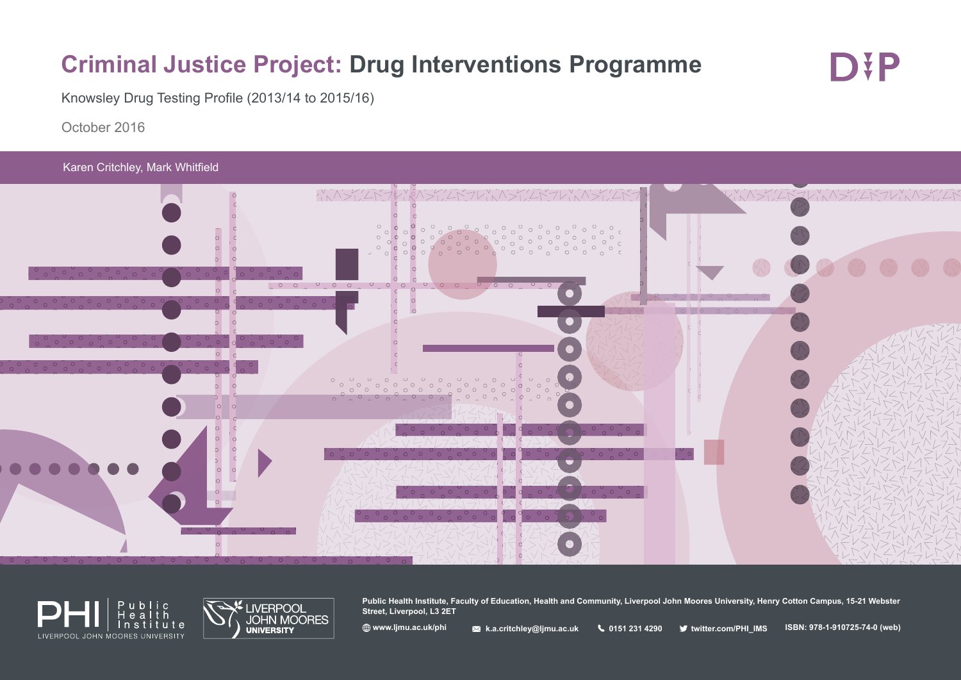# **Criminal Justice Project: Drug Interventions Programme**

D¥P

Knowsley Drug Testing Profile (2013/14 to 2015/16)

October 2016

Karen Critchley, Mark Whitfield







**Public Health Institute, Faculty of Education, Health and Community, Liverpool John Moores University, Henry Cotton Campus, 15-21 Webster Street, Liverpool, L3 2ET**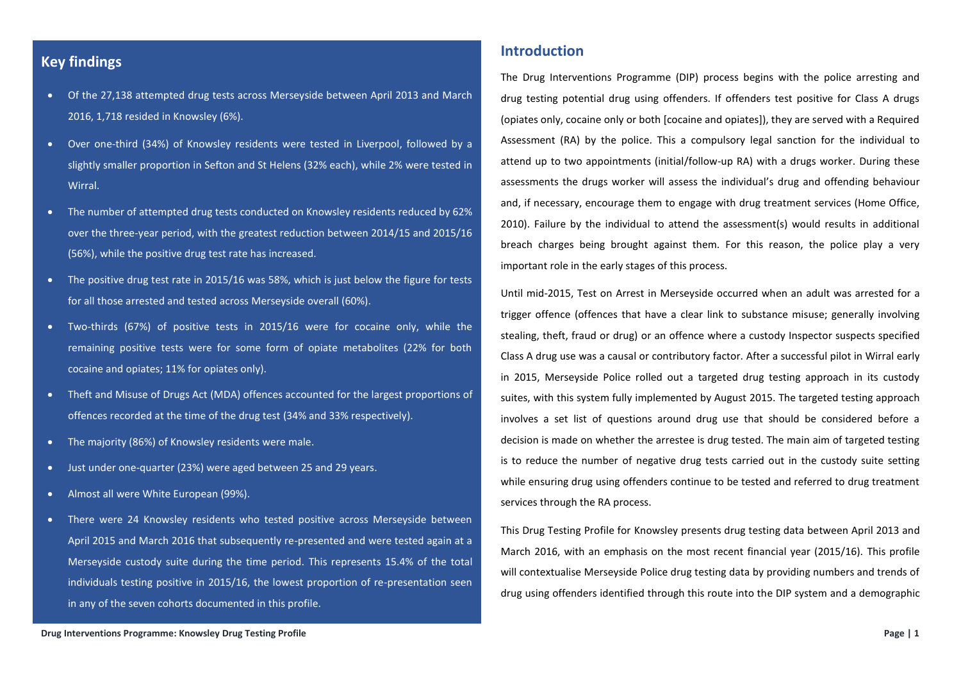# **Key findings**

- Of the 27,138 attempted drug tests across Merseyside between April 2013 and March 2016, 1,718 resided in Knowsley (6%).
- Over one-third (34%) of Knowsley residents were tested in Liverpool, followed by a slightly smaller proportion in Sefton and St Helens (32% each), while 2% were tested in Wirral.
- The number of attempted drug tests conducted on Knowsley residents reduced by 62% over the three-year period, with the greatest reduction between 2014/15 and 2015/16 (56%), while the positive drug test rate has increased.
- The positive drug test rate in 2015/16 was 58%, which is just below the figure for tests for all those arrested and tested across Merseyside overall (60%).
- Two-thirds (67%) of positive tests in 2015/16 were for cocaine only, while the remaining positive tests were for some form of opiate metabolites (22% for both cocaine and opiates; 11% for opiates only).
- Theft and Misuse of Drugs Act (MDA) offences accounted for the largest proportions of offences recorded at the time of the drug test (34% and 33% respectively).
- The majority (86%) of Knowsley residents were male.
- Just under one-quarter (23%) were aged between 25 and 29 years.
- Almost all were White European (99%).
- There were 24 Knowsley residents who tested positive across Merseyside between April 2015 and March 2016 that subsequently re-presented and were tested again at a Merseyside custody suite during the time period. This represents 15.4% of the total individuals testing positive in 2015/16, the lowest proportion of re-presentation seen in any of the seven cohorts documented in this profile.

## **Introduction**

The Drug Interventions Programme (DIP) process begins with the police arresting and drug testing potential drug using offenders. If offenders test positive for Class A drugs (opiates only, cocaine only or both [cocaine and opiates]), they are served with a Required Assessment (RA) by the police. This a compulsory legal sanction for the individual to attend up to two appointments (initial/follow-up RA) with a drugs worker. During these assessments the drugs worker will assess the individual's drug and offending behaviour and, if necessary, encourage them to engage with drug treatment services (Home Office, 2010). Failure by the individual to attend the assessment(s) would results in additional breach charges being brought against them. For this reason, the police play a very important role in the early stages of this process.

Until mid-2015, Test on Arrest in Merseyside occurred when an adult was arrested for a trigger offence (offences that have a clear link to substance misuse; generally involving stealing, theft, fraud or drug) or an offence where a custody Inspector suspects specified Class A drug use was a causal or contributory factor. After a successful pilot in Wirral early in 2015, Merseyside Police rolled out a targeted drug testing approach in its custody suites, with this system fully implemented by August 2015. The targeted testing approach involves a set list of questions around drug use that should be considered before a decision is made on whether the arrestee is drug tested. The main aim of targeted testing is to reduce the number of negative drug tests carried out in the custody suite setting while ensuring drug using offenders continue to be tested and referred to drug treatment services through the RA process.

This Drug Testing Profile for Knowsley presents drug testing data between April 2013 and March 2016, with an emphasis on the most recent financial year (2015/16). This profile will contextualise Merseyside Police drug testing data by providing numbers and trends of drug using offenders identified through this route into the DIP system and a demographic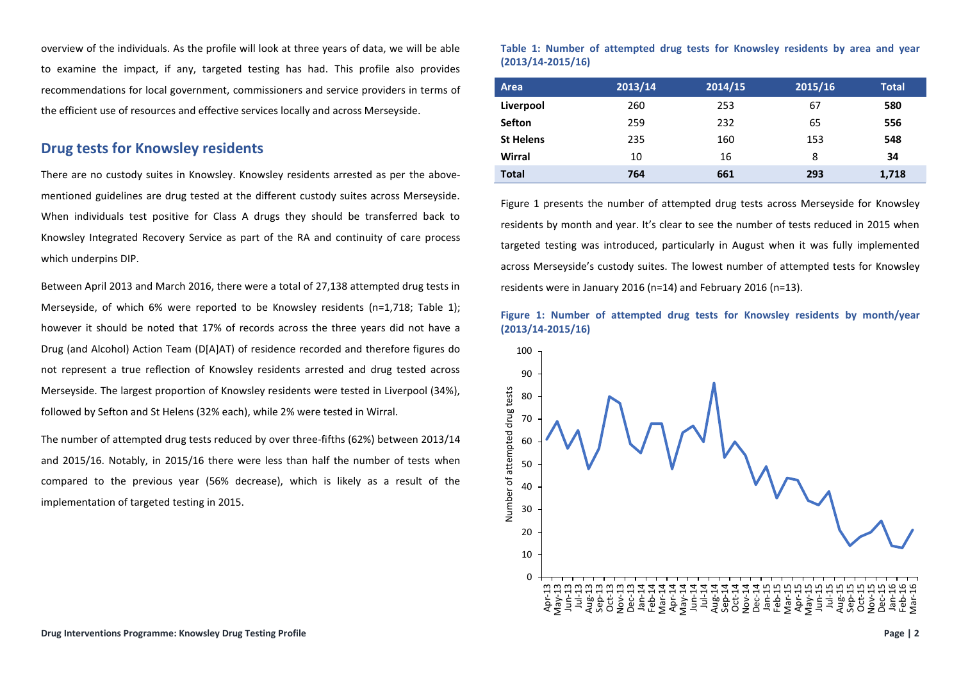overview of the individuals. As the profile will look at three years of data, we will be able to examine the impact, if any, targeted testing has had. This profile also provides recommendations for local government, commissioners and service providers in terms of the efficient use of resources and effective services locally and across Merseyside.

## **Drug tests for Knowsley residents**

There are no custody suites in Knowsley. Knowsley residents arrested as per the abovementioned guidelines are drug tested at the different custody suites across Merseyside. When individuals test positive for Class A drugs they should be transferred back to Knowsley Integrated Recovery Service as part of the RA and continuity of care process which underpins DIP.

Between April 2013 and March 2016, there were a total of 27,138 attempted drug tests in Merseyside, of which 6% were reported to be Knowsley residents (n=1,718; Table 1); however it should be noted that 17% of records across the three years did not have a Drug (and Alcohol) Action Team (D[A]AT) of residence recorded and therefore figures do not represent a true reflection of Knowsley residents arrested and drug tested across Merseyside. The largest proportion of Knowsley residents were tested in Liverpool (34%), followed by Sefton and St Helens (32% each), while 2% were tested in Wirral.

The number of attempted drug tests reduced by over three-fifths (62%) between 2013/14 and 2015/16. Notably, in 2015/16 there were less than half the number of tests when compared to the previous year (56% decrease), which is likely as a result of the implementation of targeted testing in 2015.

#### **Table 1: Number of attempted drug tests for Knowsley residents by area and year (2013/14-2015/16)**

| Area             | 2013/14 | 2014/15 | 2015/16 | <b>Total</b> |
|------------------|---------|---------|---------|--------------|
| Liverpool        | 260     | 253     | 67      | 580          |
| <b>Sefton</b>    | 259     | 232     | 65      | 556          |
| <b>St Helens</b> | 235     | 160     | 153     | 548          |
| Wirral           | 10      | 16      | 8       | 34           |
| <b>Total</b>     | 764     | 661     | 293     | 1,718        |

Figure 1 presents the number of attempted drug tests across Merseyside for Knowsley residents by month and year. It's clear to see the number of tests reduced in 2015 when targeted testing was introduced, particularly in August when it was fully implemented across Merseyside's custody suites. The lowest number of attempted tests for Knowsley residents were in January 2016 (n=14) and February 2016 (n=13).

#### **Figure 1: Number of attempted drug tests for Knowsley residents by month/year (2013/14-2015/16)**

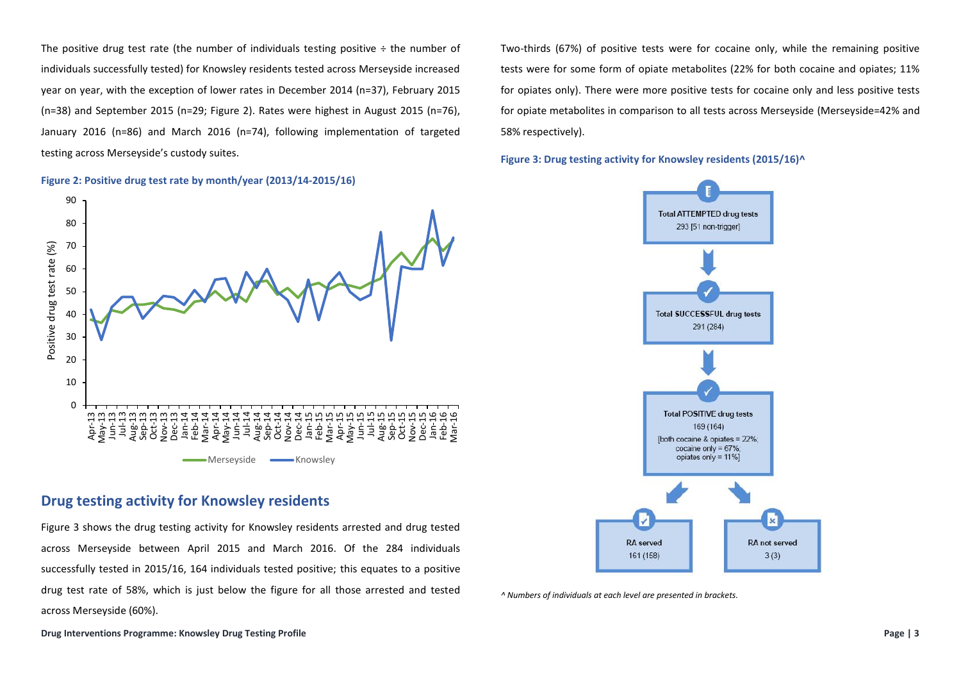The positive drug test rate (the number of individuals testing positive  $\div$  the number of individuals successfully tested) for Knowsley residents tested across Merseyside increased year on year, with the exception of lower rates in December 2014 (n=37), February 2015 (n=38) and September 2015 (n=29; Figure 2). Rates were highest in August 2015 (n=76), January 2016 (n=86) and March 2016 (n=74), following implementation of targeted testing across Merseyside's custody suites.

**Figure 2: Positive drug test rate by month/year (2013/14-2015/16)**



# **Drug testing activity for Knowsley residents**

Figure 3 shows the drug testing activity for Knowsley residents arrested and drug tested across Merseyside between April 2015 and March 2016. Of the 284 individuals successfully tested in 2015/16, 164 individuals tested positive; this equates to a positive drug test rate of 58%, which is just below the figure for all those arrested and tested across Merseyside (60%).

Two-thirds (67%) of positive tests were for cocaine only, while the remaining positive tests were for some form of opiate metabolites (22% for both cocaine and opiates; 11% for opiates only). There were more positive tests for cocaine only and less positive tests for opiate metabolites in comparison to all tests across Merseyside (Merseyside=42% and 58% respectively).

**Figure 3: Drug testing activity for Knowsley residents (2015/16)^**



*^ Numbers of individuals at each level are presented in brackets.*

**Drug Interventions Programme: Knowsley Drug Testing Profile Page | 3**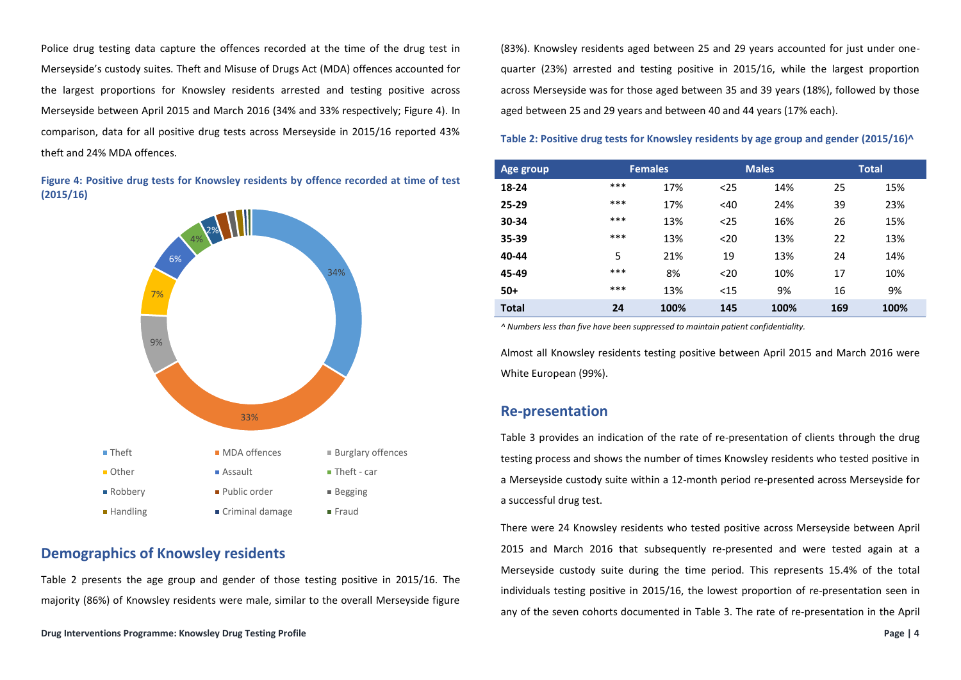Police drug testing data capture the offences recorded at the time of the drug test in Merseyside's custody suites. Theft and Misuse of Drugs Act (MDA) offences accounted for the largest proportions for Knowsley residents arrested and testing positive across Merseyside between April 2015 and March 2016 (34% and 33% respectively; Figure 4). In comparison, data for all positive drug tests across Merseyside in 2015/16 reported 43% theft and 24% MDA offences.

**Figure 4: Positive drug tests for Knowsley residents by offence recorded at time of test (2015/16)**



# **Demographics of Knowsley residents**

Table 2 presents the age group and gender of those testing positive in 2015/16. The majority (86%) of Knowsley residents were male, similar to the overall Merseyside figure (83%). Knowsley residents aged between 25 and 29 years accounted for just under onequarter (23%) arrested and testing positive in 2015/16, while the largest proportion across Merseyside was for those aged between 35 and 39 years (18%), followed by those aged between 25 and 29 years and between 40 and 44 years (17% each).

**Table 2: Positive drug tests for Knowsley residents by age group and gender (2015/16)^**

| Age group    |     | <b>Females</b> |      | <b>Males</b> |     | <b>Total</b> |
|--------------|-----|----------------|------|--------------|-----|--------------|
| 18-24        | *** | 17%            | $25$ | 14%          | 25  | 15%          |
| $25 - 29$    | *** | 17%            | <40  | 24%          | 39  | 23%          |
| 30-34        | *** | 13%            | $25$ | 16%          | 26  | 15%          |
| 35-39        | *** | 13%            | $20$ | 13%          | 22  | 13%          |
| 40-44        | 5   | 21%            | 19   | 13%          | 24  | 14%          |
| 45-49        | *** | 8%             | $20$ | 10%          | 17  | 10%          |
| $50+$        | *** | 13%            | $15$ | 9%           | 16  | 9%           |
| <b>Total</b> | 24  | 100%           | 145  | 100%         | 169 | 100%         |

*^ Numbers less than five have been suppressed to maintain patient confidentiality.* 

Almost all Knowsley residents testing positive between April 2015 and March 2016 were White European (99%).

## **Re-presentation**

Table 3 provides an indication of the rate of re-presentation of clients through the drug testing process and shows the number of times Knowsley residents who tested positive in a Merseyside custody suite within a 12-month period re-presented across Merseyside for a successful drug test.

There were 24 Knowsley residents who tested positive across Merseyside between April 2015 and March 2016 that subsequently re-presented and were tested again at a Merseyside custody suite during the time period. This represents 15.4% of the total individuals testing positive in 2015/16, the lowest proportion of re-presentation seen in any of the seven cohorts documented in Table 3. The rate of re-presentation in the April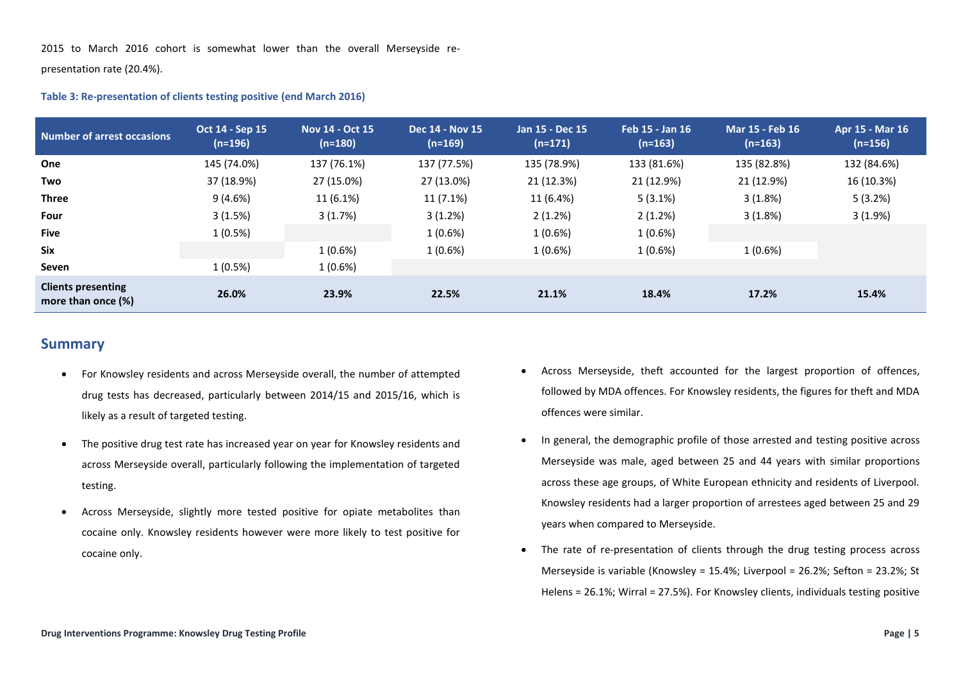2015 to March 2016 cohort is somewhat lower than the overall Merseyside re-

presentation rate (20.4%).

#### **Table 3: Re-presentation of clients testing positive (end March 2016)**

| <b>Number of arrest occasions</b>               | Oct 14 - Sep 15<br>$(n=196)$ | Nov 14 - Oct 15<br>$(n=180)$ | <b>Dec 14 - Nov 15</b><br>$(n=169)$ | Jan 15 - Dec 15<br>$(n=171)$ | Feb 15 - Jan 16<br>$(n=163)$ | <b>Mar 15 - Feb 16</b><br>$(n=163)$ | Apr 15 - Mar 16<br>$(n=156)$ |
|-------------------------------------------------|------------------------------|------------------------------|-------------------------------------|------------------------------|------------------------------|-------------------------------------|------------------------------|
| One                                             | 145 (74.0%)                  | 137 (76.1%)                  | 137 (77.5%)                         | 135 (78.9%)                  | 133 (81.6%)                  | 135 (82.8%)                         | 132 (84.6%)                  |
| Two                                             | 37 (18.9%)                   | 27 (15.0%)                   | 27 (13.0%)                          | 21 (12.3%)                   | 21 (12.9%)                   | 21 (12.9%)                          | 16 (10.3%)                   |
| Three                                           | 9(4.6%)                      | 11 (6.1%)                    | 11 (7.1%)                           | 11 (6.4%)                    | 5(3.1%)                      | 3(1.8%)                             | 5(3.2%)                      |
| Four                                            | 3(1.5%)                      | 3(1.7%)                      | 3(1.2%)                             | 2(1.2%)                      | 2(1.2%)                      | 3(1.8%)                             | 3(1.9%)                      |
| <b>Five</b>                                     | 1(0.5%)                      |                              | 1(0.6%)                             | 1 (0.6%)                     | 1(0.6%)                      |                                     |                              |
| <b>Six</b>                                      |                              | 1(0.6%)                      | 1(0.6%)                             | 1(0.6%)                      | 1(0.6%)                      | 1(0.6%)                             |                              |
| Seven                                           | 1(0.5%)                      | $1(0.6\%)$                   |                                     |                              |                              |                                     |                              |
| <b>Clients presenting</b><br>more than once (%) | 26.0%                        | 23.9%                        | 22.5%                               | 21.1%                        | 18.4%                        | 17.2%                               | 15.4%                        |

## **Summary**

- For Knowsley residents and across Merseyside overall, the number of attempted drug tests has decreased, particularly between 2014/15 and 2015/16, which is likely as a result of targeted testing.
- The positive drug test rate has increased year on year for Knowsley residents and across Merseyside overall, particularly following the implementation of targeted testing.
- Across Merseyside, slightly more tested positive for opiate metabolites than cocaine only. Knowsley residents however were more likely to test positive for cocaine only.
- Across Merseyside, theft accounted for the largest proportion of offences, followed by MDA offences. For Knowsley residents, the figures for theft and MDA offences were similar.
- In general, the demographic profile of those arrested and testing positive across Merseyside was male, aged between 25 and 44 years with similar proportions across these age groups, of White European ethnicity and residents of Liverpool. Knowsley residents had a larger proportion of arrestees aged between 25 and 29 years when compared to Merseyside.
- The rate of re-presentation of clients through the drug testing process across Merseyside is variable (Knowsley = 15.4%; Liverpool = 26.2%; Sefton = 23.2%; St Helens = 26.1%; Wirral = 27.5%). For Knowsley clients, individuals testing positive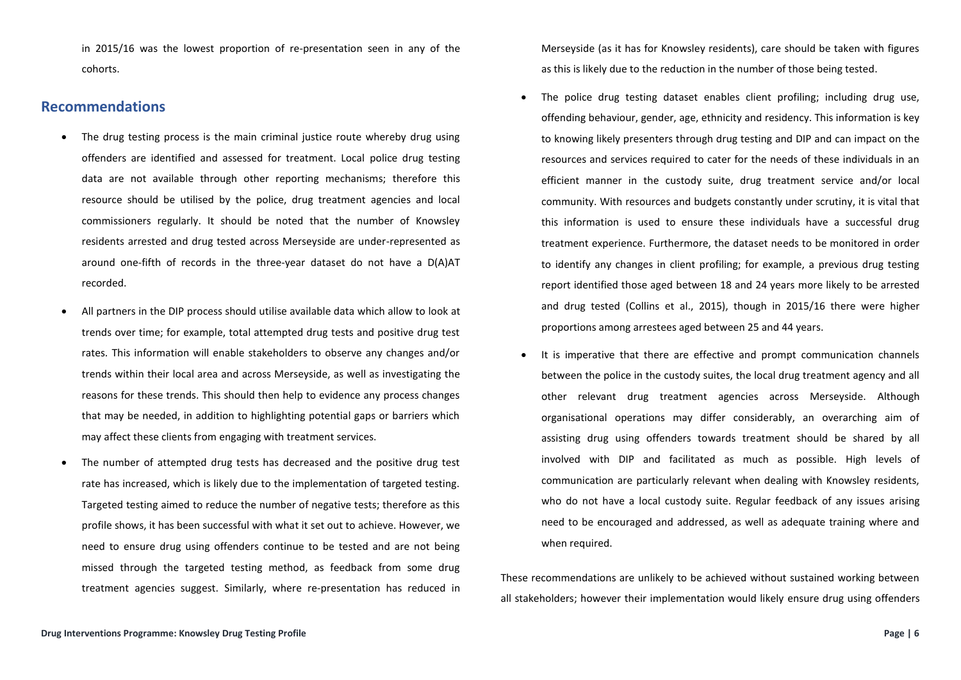in 2015/16 was the lowest proportion of re-presentation seen in any of the cohorts.

#### **Recommendations**

- The drug testing process is the main criminal justice route whereby drug using offenders are identified and assessed for treatment. Local police drug testing data are not available through other reporting mechanisms; therefore this resource should be utilised by the police, drug treatment agencies and local commissioners regularly. It should be noted that the number of Knowsley residents arrested and drug tested across Merseyside are under-represented as around one-fifth of records in the three-year dataset do not have a D(A)AT recorded.
- All partners in the DIP process should utilise available data which allow to look at trends over time; for example, total attempted drug tests and positive drug test rates. This information will enable stakeholders to observe any changes and/or trends within their local area and across Merseyside, as well as investigating the reasons for these trends. This should then help to evidence any process changes that may be needed, in addition to highlighting potential gaps or barriers which may affect these clients from engaging with treatment services.
- The number of attempted drug tests has decreased and the positive drug test rate has increased, which is likely due to the implementation of targeted testing. Targeted testing aimed to reduce the number of negative tests; therefore as this profile shows, it has been successful with what it set out to achieve. However, we need to ensure drug using offenders continue to be tested and are not being missed through the targeted testing method, as feedback from some drug treatment agencies suggest. Similarly, where re-presentation has reduced in

Merseyside (as it has for Knowsley residents), care should be taken with figures as this is likely due to the reduction in the number of those being tested.

- The police drug testing dataset enables client profiling; including drug use, offending behaviour, gender, age, ethnicity and residency. This information is key to knowing likely presenters through drug testing and DIP and can impact on the resources and services required to cater for the needs of these individuals in an efficient manner in the custody suite, drug treatment service and/or local community. With resources and budgets constantly under scrutiny, it is vital that this information is used to ensure these individuals have a successful drug treatment experience. Furthermore, the dataset needs to be monitored in order to identify any changes in client profiling; for example, a previous drug testing report identified those aged between 18 and 24 years more likely to be arrested and drug tested (Collins et al., 2015), though in 2015/16 there were higher proportions among arrestees aged between 25 and 44 years.
- It is imperative that there are effective and prompt communication channels between the police in the custody suites, the local drug treatment agency and all other relevant drug treatment agencies across Merseyside. Although organisational operations may differ considerably, an overarching aim of assisting drug using offenders towards treatment should be shared by all involved with DIP and facilitated as much as possible. High levels of communication are particularly relevant when dealing with Knowsley residents, who do not have a local custody suite. Regular feedback of any issues arising need to be encouraged and addressed, as well as adequate training where and when required.

These recommendations are unlikely to be achieved without sustained working between all stakeholders; however their implementation would likely ensure drug using offenders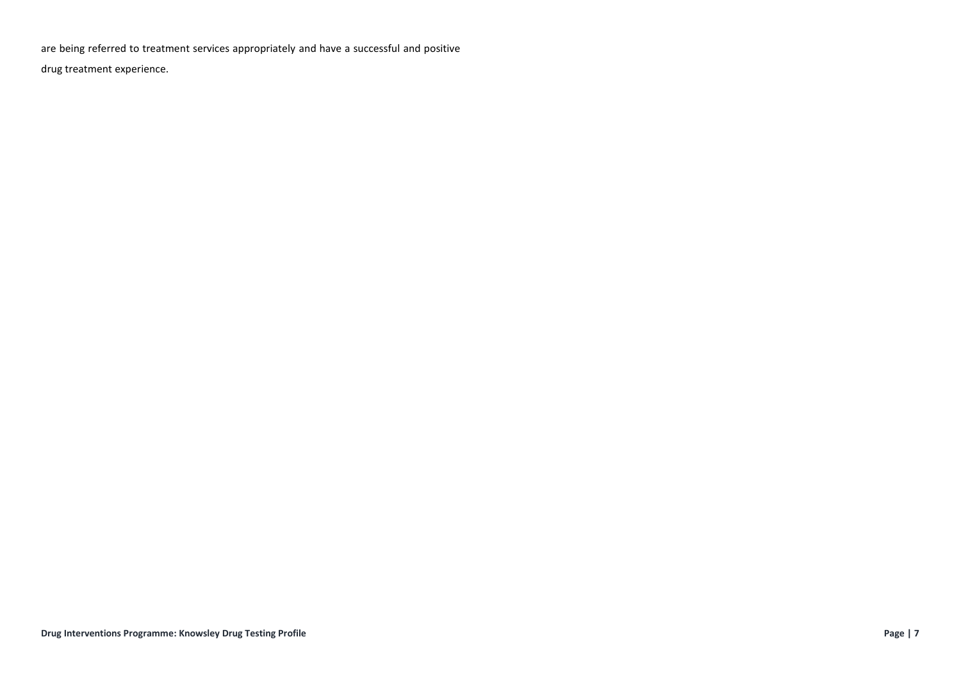are being referred to treatment services appropriately and have a successful and positive

drug treatment experience.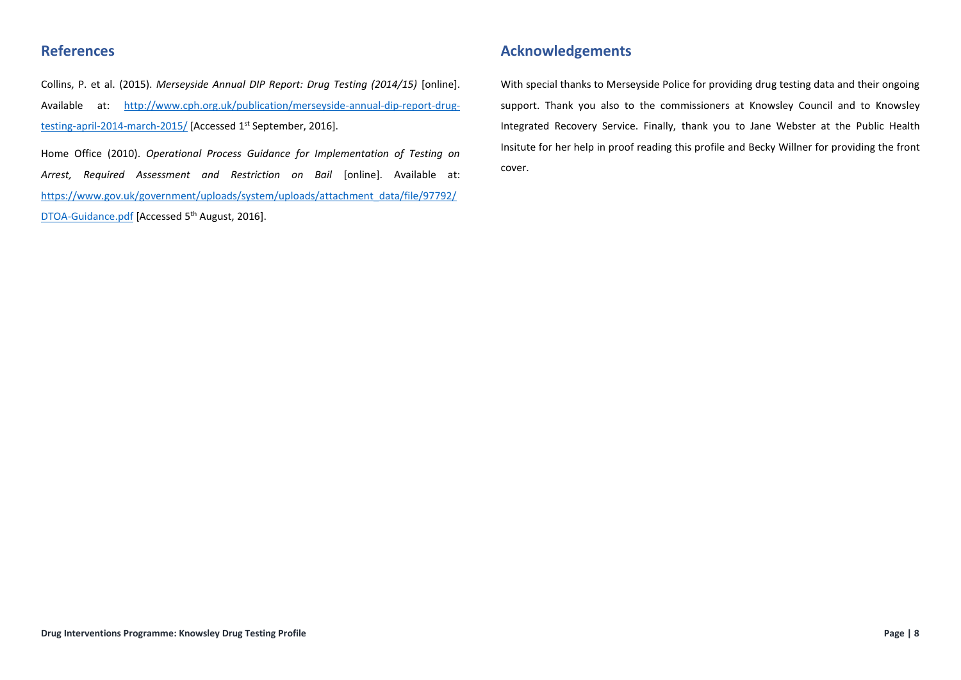# **References**

Collins, P. et al. (2015). *Merseyside Annual DIP Report: Drug Testing (2014/15)* [online]. Available at: [http://www.cph.org.uk/publication/merseyside-annual-dip-report-drug](http://www.cph.org.uk/publication/merseyside-annual-dip-report-drug-testing-april-2014-march-2015/)[testing-april-2014-march-2015/](http://www.cph.org.uk/publication/merseyside-annual-dip-report-drug-testing-april-2014-march-2015/) [Accessed 1<sup>st</sup> September, 2016].

Home Office (2010). *Operational Process Guidance for Implementation of Testing on Arrest, Required Assessment and Restriction on Bail* [online]. Available at: [https://www.gov.uk/government/uploads/system/uploads/attachment\\_data/file/97792/](https://www.gov.uk/government/uploads/system/uploads/attachment_data/file/97792/DTOA-Guidance.pdf) [DTOA-Guidance.pdf](https://www.gov.uk/government/uploads/system/uploads/attachment_data/file/97792/DTOA-Guidance.pdf) [Accessed 5<sup>th</sup> August, 2016].

# **Acknowledgements**

With special thanks to Merseyside Police for providing drug testing data and their ongoing support. Thank you also to the commissioners at Knowsley Council and to Knowsley Integrated Recovery Service. Finally, thank you to Jane Webster at the Public Health Insitute for her help in proof reading this profile and Becky Willner for providing the front cover.